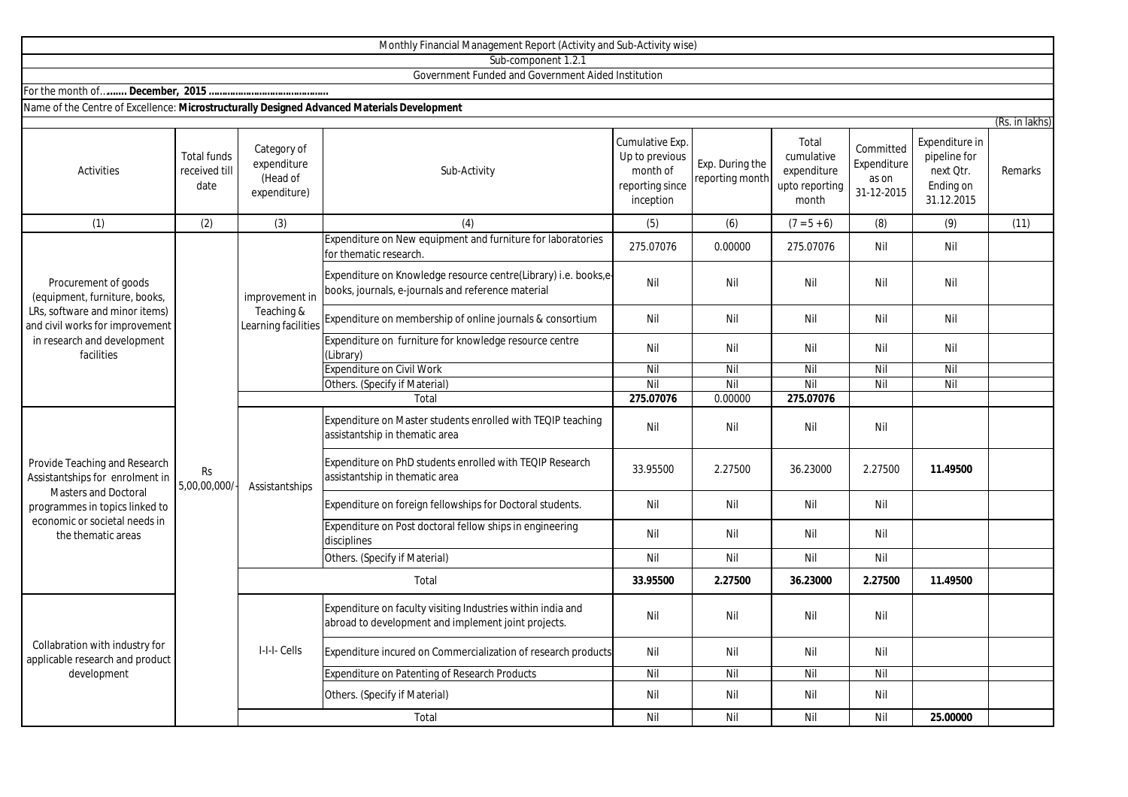|                                                                                                                                                                                   |                                             |                                                        | Monthly Financial Management Report (Activity and Sub-Activity wise)                                                  |                                                                               |                                    |                                                               |                                                 |                                                                        |                |
|-----------------------------------------------------------------------------------------------------------------------------------------------------------------------------------|---------------------------------------------|--------------------------------------------------------|-----------------------------------------------------------------------------------------------------------------------|-------------------------------------------------------------------------------|------------------------------------|---------------------------------------------------------------|-------------------------------------------------|------------------------------------------------------------------------|----------------|
|                                                                                                                                                                                   |                                             |                                                        | Sub-component 1.2.1                                                                                                   |                                                                               |                                    |                                                               |                                                 |                                                                        |                |
|                                                                                                                                                                                   |                                             |                                                        | Government Funded and Government Aided Institution                                                                    |                                                                               |                                    |                                                               |                                                 |                                                                        |                |
|                                                                                                                                                                                   |                                             |                                                        |                                                                                                                       |                                                                               |                                    |                                                               |                                                 |                                                                        |                |
| Name of the Centre of Excellence: Microstructurally Designed Advanced Materials Development                                                                                       |                                             |                                                        |                                                                                                                       |                                                                               |                                    |                                                               |                                                 |                                                                        |                |
|                                                                                                                                                                                   |                                             |                                                        |                                                                                                                       |                                                                               |                                    |                                                               |                                                 |                                                                        | (Rs. in lakhs) |
| Activities                                                                                                                                                                        | <b>Total funds</b><br>received till<br>date | Category of<br>expenditure<br>(Head of<br>expenditure) | Sub-Activity                                                                                                          | Cumulative Exp.<br>Up to previous<br>month of<br>reporting since<br>inception | Exp. During the<br>reporting month | Total<br>cumulative<br>expenditure<br>upto reporting<br>month | Committed<br>Expenditure<br>as on<br>31-12-2015 | Expenditure in<br>pipeline for<br>next Qtr.<br>Ending on<br>31.12.2015 | <b>Remarks</b> |
| (1)                                                                                                                                                                               | (2)                                         | (3)                                                    | (4)                                                                                                                   | (5)                                                                           | (6)                                | $(7 = 5 + 6)$                                                 | (8)                                             | (9)                                                                    | (11)           |
| Procurement of goods<br>(equipment, furniture, books,<br>LRs, software and minor items)<br>and civil works for improvement<br>in research and development<br>facilities           | Rs<br>5,00,00,000/                          | improvement in<br>Teaching &<br>Learning facilities    | Expenditure on New equipment and furniture for laboratories<br>for thematic research.                                 | 275.07076                                                                     | 0.00000                            | 275.07076                                                     | Nil                                             | Nil                                                                    |                |
|                                                                                                                                                                                   |                                             |                                                        | Expenditure on Knowledge resource centre(Library) i.e. books,e-<br>books, journals, e-journals and reference material | Nil                                                                           | Nil                                | Nil                                                           | Nil                                             | Nil                                                                    |                |
|                                                                                                                                                                                   |                                             |                                                        | Expenditure on membership of online journals & consortium                                                             | Nil                                                                           | Nil                                | Nil                                                           | Nil                                             | Nil                                                                    |                |
|                                                                                                                                                                                   |                                             |                                                        | Expenditure on furniture for knowledge resource centre<br>(Library)                                                   | Nil                                                                           | Nil                                | Nil                                                           | Nil                                             | Nil                                                                    |                |
|                                                                                                                                                                                   |                                             |                                                        | <b>Expenditure on Civil Work</b>                                                                                      | Nil                                                                           | Nil                                | Nil                                                           | Nil                                             | Nil                                                                    |                |
|                                                                                                                                                                                   |                                             |                                                        | Others. (Specify if Material)                                                                                         | Nil                                                                           | Nil                                | Nil                                                           | Nil                                             | Nil                                                                    |                |
|                                                                                                                                                                                   |                                             |                                                        | Total                                                                                                                 | 275.07076                                                                     | 0.00000                            | 275.07076                                                     |                                                 |                                                                        |                |
| Provide Teaching and Research<br>Assistantships for enrolment in<br>Masters and Doctoral<br>programmes in topics linked to<br>economic or societal needs in<br>the thematic areas |                                             | Assistantships                                         | Expenditure on Master students enrolled with TEQIP teaching<br>assistantship in thematic area                         | Nil                                                                           | Nil                                | Nil                                                           | Nil                                             |                                                                        |                |
|                                                                                                                                                                                   |                                             |                                                        | Expenditure on PhD students enrolled with TEQIP Research<br>assistantship in thematic area                            | 33.95500                                                                      | 2.27500                            | 36.23000                                                      | 2.27500                                         | 11.49500                                                               |                |
|                                                                                                                                                                                   |                                             |                                                        | Expenditure on foreign fellowships for Doctoral students.                                                             | Nil                                                                           | Nil                                | Nil                                                           | Nil                                             |                                                                        |                |
|                                                                                                                                                                                   |                                             |                                                        | Expenditure on Post doctoral fellow ships in engineering<br>disciplines                                               | Nil                                                                           | Nil                                | Nil                                                           | Nil                                             |                                                                        |                |
|                                                                                                                                                                                   |                                             |                                                        | Others. (Specify if Material)                                                                                         | Nil                                                                           | Nil                                | Nil                                                           | Nil                                             |                                                                        |                |
|                                                                                                                                                                                   |                                             | Total                                                  |                                                                                                                       | 33.95500                                                                      | 2.27500                            | 36.23000                                                      | 2.27500                                         | 11.49500                                                               |                |
| Collabration with industry for<br>applicable research and product<br>development                                                                                                  |                                             | I-I-I- Cells                                           | Expenditure on faculty visiting Industries within india and<br>abroad to development and implement joint projects.    | Nil                                                                           | Nil                                | Nil                                                           | Nil                                             |                                                                        |                |
|                                                                                                                                                                                   |                                             |                                                        | Expenditure incured on Commercialization of research products                                                         | Nil                                                                           | Nil                                | Nil                                                           | Nil                                             |                                                                        |                |
|                                                                                                                                                                                   |                                             |                                                        | <b>Expenditure on Patenting of Research Products</b>                                                                  | Nil                                                                           | Nil                                | Nil                                                           | Nil                                             |                                                                        |                |

Total

Others. (Specify if Material) Nil Nil Nil Nil

Nil Nil Nil Nil **25.00000**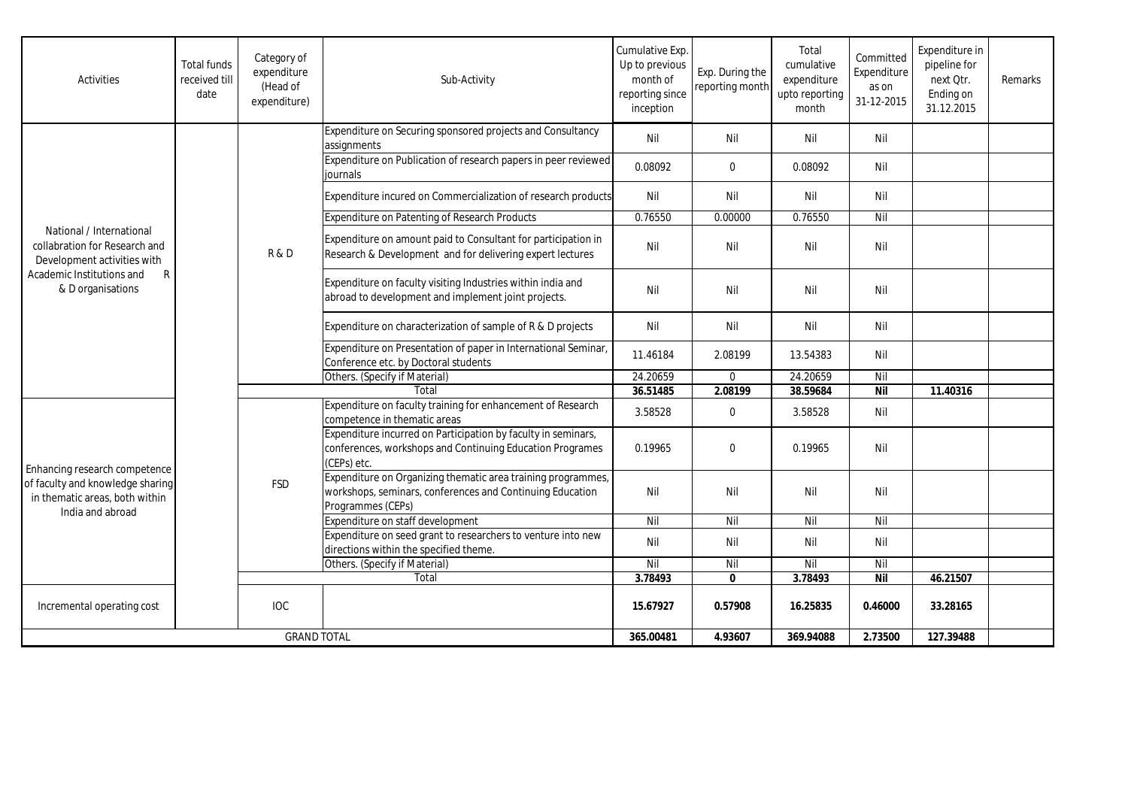| <b>Activities</b>                                                                                                                               | <b>Total funds</b><br>received till<br>date | Category of<br>expenditure<br>(Head of<br>expenditure) | Sub-Activity                                                                                                                                   | Cumulative Exp.<br>Up to previous<br>month of<br>reporting since<br>inception | Exp. During the<br>reporting month | Total<br>cumulative<br>expenditure<br>upto reporting<br>month | Committed<br>Expenditure<br>as on<br>31-12-2015 | Expenditure in<br>pipeline for<br>next Otr.<br>Ending on<br>31.12.2015 | Remarks |
|-------------------------------------------------------------------------------------------------------------------------------------------------|---------------------------------------------|--------------------------------------------------------|------------------------------------------------------------------------------------------------------------------------------------------------|-------------------------------------------------------------------------------|------------------------------------|---------------------------------------------------------------|-------------------------------------------------|------------------------------------------------------------------------|---------|
| National / International<br>collabration for Research and<br>Development activities with<br>Academic Institutions and<br>R<br>& D organisations |                                             | R&D                                                    | Expenditure on Securing sponsored projects and Consultancy<br>assignments                                                                      | Nil                                                                           | Nil                                | Nil                                                           | Nil                                             |                                                                        |         |
|                                                                                                                                                 |                                             |                                                        | Expenditure on Publication of research papers in peer reviewed<br>iournals                                                                     | 0.08092                                                                       | $\mathbf 0$                        | 0.08092                                                       | Nil                                             |                                                                        |         |
|                                                                                                                                                 |                                             |                                                        | Expenditure incured on Commercialization of research products                                                                                  | Nil                                                                           | Nil                                | Nil                                                           | Nil                                             |                                                                        |         |
|                                                                                                                                                 |                                             |                                                        | <b>Expenditure on Patenting of Research Products</b>                                                                                           | 0.76550                                                                       | 0.00000                            | 0.76550                                                       | Nil                                             |                                                                        |         |
|                                                                                                                                                 |                                             |                                                        | Expenditure on amount paid to Consultant for participation in<br>Research & Development and for delivering expert lectures                     | Nil                                                                           | Nil                                | Nil                                                           | Nil                                             |                                                                        |         |
|                                                                                                                                                 |                                             |                                                        | Expenditure on faculty visiting Industries within india and<br>abroad to development and implement joint projects.                             | Nil                                                                           | Nil                                | Nil                                                           | Nil                                             |                                                                        |         |
|                                                                                                                                                 |                                             |                                                        | Expenditure on characterization of sample of R & D projects                                                                                    | Nil                                                                           | Nil                                | Nil                                                           | Nil                                             |                                                                        |         |
|                                                                                                                                                 |                                             |                                                        | Expenditure on Presentation of paper in International Seminar,<br>Conference etc. by Doctoral students                                         | 11.46184                                                                      | 2.08199                            | 13.54383                                                      | Nil                                             |                                                                        |         |
|                                                                                                                                                 |                                             |                                                        | Others. (Specify if Material)                                                                                                                  | 24.20659                                                                      | $\mathbf 0$                        | 24.20659                                                      | Nil                                             |                                                                        |         |
|                                                                                                                                                 |                                             |                                                        | Total                                                                                                                                          | 36.51485                                                                      | 2.08199                            | 38.59684                                                      | <b>Nil</b>                                      | 11.40316                                                               |         |
| Enhancing research competence<br>of faculty and knowledge sharing<br>in thematic areas, both within<br>India and abroad                         |                                             | <b>FSD</b>                                             | Expenditure on faculty training for enhancement of Research<br>competence in thematic areas                                                    | 3.58528                                                                       | $\pmb{0}$                          | 3.58528                                                       | Nil                                             |                                                                        |         |
|                                                                                                                                                 |                                             |                                                        | Expenditure incurred on Participation by faculty in seminars,<br>conferences, workshops and Continuing Education Programes<br>(CEPs) etc.      | 0.19965                                                                       | $\Omega$                           | 0.19965                                                       | Nil                                             |                                                                        |         |
|                                                                                                                                                 |                                             |                                                        | Expenditure on Organizing thematic area training programmes,<br>workshops, seminars, conferences and Continuing Education<br>Programmes (CEPs) | Nil                                                                           | Nil                                | Nil                                                           | Nil                                             |                                                                        |         |
|                                                                                                                                                 |                                             |                                                        | Expenditure on staff development                                                                                                               | Nil                                                                           | Nil                                | $\overline{N}$                                                | Nil                                             |                                                                        |         |
|                                                                                                                                                 |                                             |                                                        | Expenditure on seed grant to researchers to venture into new<br>directions within the specified theme.                                         | Nil                                                                           | Nil                                | Nil                                                           | Nil                                             |                                                                        |         |
|                                                                                                                                                 |                                             |                                                        | Others. (Specify if Material)                                                                                                                  | Nil                                                                           | Nil                                | Nil                                                           | Nil                                             |                                                                        |         |
|                                                                                                                                                 |                                             |                                                        | Total                                                                                                                                          | 3.78493                                                                       | $\mathbf{0}$                       | 3.78493                                                       | Nil                                             | 46.21507                                                               |         |
| Incremental operating cost                                                                                                                      |                                             | <b>IOC</b>                                             |                                                                                                                                                | 15.67927                                                                      | 0.57908                            | 16.25835                                                      | 0.46000                                         | 33.28165                                                               |         |
| <b>GRAND TOTAL</b>                                                                                                                              |                                             |                                                        | 365.00481                                                                                                                                      | 4.93607                                                                       | 369.94088                          | 2.73500                                                       | 127.39488                                       |                                                                        |         |